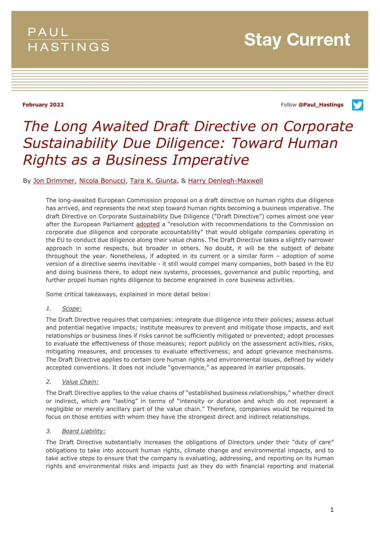## **PAUL HASTINGS**

**February 2022** Follow **[@Paul\\_Hastings](http://twitter.com/Paul_Hastings)**

V

# *The Long Awaited Draft Directive on Corporate Sustainability Due Diligence: Toward Human Rights as a Business Imperative*

By [Jon Drimmer,](https://www.paulhastings.com/professionals/jondrimmer) [Nicola Bonucci,](https://www.paulhastings.com/professionals/nicolabonucci) [Tara K. Giunta,](https://www.paulhastings.com/professionals/taragiunta) & [Harry Denlegh-Maxwell](https://www.paulhastings.com/professionals/harrydenlegh-maxwell)

The long-awaited European Commission proposal on a draft directive on human rights due diligence has arrived, and represents the next step toward human rights becoming a business imperative. The draft Directive on Corporate Sustainability Due Diligence ("Draft Directive") comes almost one year after the European Parliament [adopted](https://www.europarl.europa.eu/doceo/document/TA-9-2021-0073_EN.html) a "resolution with recommendations to the Commission on corporate due diligence and corporate accountability" that would obligate companies operating in the EU to conduct due diligence along their value chains. The Draft Directive takes a slightly narrower approach in some respects, but broader in others. No doubt, it will be the subject of debate throughout the year. Nonetheless, if adopted in its current or a similar form – adoption of some version of a directive seems inevitable - it still would compel many companies, both based in the EU and doing business there, to adopt new systems, processes, governance and public reporting, and further propel human rights diligence to become engrained in core business activities.

Some critical takeaways, explained in more detail below:

#### *1. Scope:*

The Draft Directive requires that companies: integrate due diligence into their policies; assess actual and potential negative impacts; institute measures to prevent and mitigate those impacts, and exit relationships or business lines if risks cannot be sufficiently mitigated or prevented; adopt processes to evaluate the effectiveness of those measures; report publicly on the assessment activities, risks, mitigating measures, and processes to evaluate effectiveness; and adopt grievance mechanisms. The Draft Directive applies to certain core human rights and environmental issues, defined by widely accepted conventions. It does not include "governance," as appeared in earlier proposals.

*2. Value Chain:*

The Draft Directive applies to the value chains of "established business relationships," whether direct or indirect, which are "lasting" in terms of "intensity or duration and which do not represent a negligible or merely ancillary part of the value chain." Therefore, companies would be required to focus on those entities with whom they have the strongest direct and indirect relationships.

*3. Board Liability:*

The Draft Directive substantially increases the obligations of Directors under their "duty of care" obligations to take into account human rights, climate change and environmental impacts, and to take active steps to ensure that the company is evaluating, addressing, and reporting on its human rights and environmental risks and impacts just as they do with financial reporting and material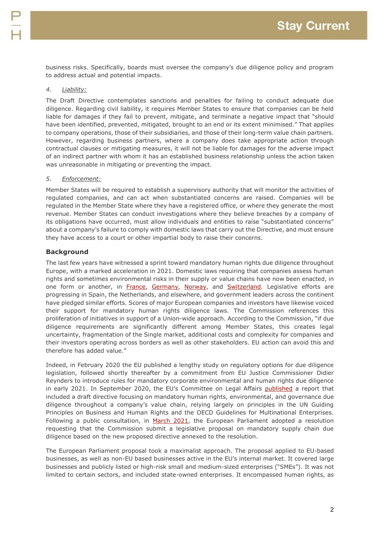business risks. Specifically, boards must oversee the company's due diligence policy and program to address actual and potential impacts.

## *4. Liability:*

The Draft Directive contemplates sanctions and penalties for failing to conduct adequate due diligence. Regarding civil liability, it requires Member States to ensure that companies can be held liable for damages if they fail to prevent, mitigate, and terminate a negative impact that "should have been identified, prevented, mitigated, brought to an end or its extent minimised." That applies to company operations, those of their subsidiaries, and those of their long-term value chain partners. However, regarding business partners, where a company does take appropriate action through contractual clauses or mitigating measures, it will not be liable for damages for the adverse impact of an indirect partner with whom it has an established business relationship unless the action taken was unreasonable in mitigating or preventing the impact.

### *5. Enforcement:*

Member States will be required to establish a supervisory authority that will monitor the activities of regulated companies, and can act when substantiated concerns are raised. Companies will be regulated in the Member State where they have a registered office, or where they generate the most revenue. Member States can conduct investigations where they believe breaches by a company of its obligations have occurred, must allow individuals and entities to raise "substantiated concerns" about a company's failure to comply with domestic laws that carry out the Directive, and must ensure they have access to a court or other impartial body to raise their concerns.

## **Background**

The last few years have witnessed a sprint toward mandatory human rights due diligence throughout Europe, with a marked acceleration in 2021. Domestic laws requiring that companies assess human rights and sometimes environmental risks in their supply or value chains have now been enacted, in one form or another, in [France,](https://www.legifrance.gouv.fr/jorf/id/JORFTEXT000034290626/) [Germany,](https://perma.cc/8JUX-ET2Q) [Norway,](https://lovdata.no/dokument/NLE/lov/2021-06-18-99) and [Switzerland.](https://www.parlament.ch/centers/eparl/curia/2016/20160077/Texte%20pour%20le%20vote%20final%202%20NS%20F.pdf) Legislative efforts are progressing in Spain, the Netherlands, and elsewhere, and government leaders across the continent have pledged similar efforts. Scores of major European companies and investors have likewise voiced their support for mandatory human rights diligence laws. The Commission references this proliferation of initiatives in support of a Union-wide approach. According to the Commission, "if due diligence requirements are significantly different among Member States, this creates legal uncertainty, fragmentation of the Single market, additional costs and complexity for companies and their investors operating across borders as well as other stakeholders. EU action can avoid this and therefore has added value."

Indeed, in February 2020 the EU published a lengthy study on regulatory options for due diligence legislation, followed shortly thereafter by a commitment from EU Justice Commissioner Didier Reynders to introduce rules for mandatory corporate environmental and human rights due diligence in early 2021. In September 2020, the EU's Committee on Legal Affairs [published](https://www.paulhastings.com/insights/client-alerts/pre-draft-of-the-eu-mandatory-corporate-due-diligence-and-corporate-accountability-initiative-10-questions-businesses-need-to-know) a report that included a draft directive focusing on mandatory human rights, environmental, and governance due diligence throughout a company's value chain, relying largely on principles in the UN Guiding Principles on Business and Human Rights and the OECD Guidelines for Multinational Enterprises. Following a public consultation, in [March 2021,](https://www.lexology.com/library/detail.aspx?g=dd228bbc-36e0-4e38-86a2-bd510d9e483a) the European Parliament adopted a resolution requesting that the Commission submit a legislative proposal on mandatory supply chain due diligence based on the new proposed directive annexed to the resolution.

The European Parliament proposal took a maximalist approach. The proposal applied to EU-based businesses, as well as non-EU based businesses active in the EU's internal market. It covered large businesses and publicly listed or high-risk small and medium-sized enterprises ("SMEs"). It was not limited to certain sectors, and included state-owned enterprises. It encompassed human rights, as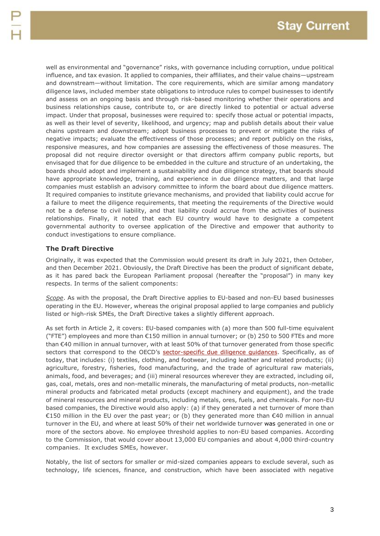well as environmental and "governance" risks, with governance including corruption, undue political influence, and tax evasion. It applied to companies, their affiliates, and their value chains—upstream and downstream—without limitation. The core requirements, which are similar among mandatory diligence laws, included member state obligations to introduce rules to compel businesses to identify and assess on an ongoing basis and through risk-based monitoring whether their operations and business relationships cause, contribute to, or are directly linked to potential or actual adverse impact. Under that proposal, businesses were required to: specify those actual or potential impacts, as well as their level of severity, likelihood, and urgency; map and publish details about their value chains upstream and downstream; adopt business processes to prevent or mitigate the risks of negative impacts; evaluate the effectiveness of those processes; and report publicly on the risks, responsive measures, and how companies are assessing the effectiveness of those measures. The proposal did not require director oversight or that directors affirm company public reports, but envisaged that for due diligence to be embedded in the culture and structure of an undertaking, the boards should adopt and implement a sustainability and due diligence strategy, that boards should have appropriate knowledge, training, and experience in due diligence matters, and that large companies must establish an advisory committee to inform the board about due diligence matters. It required companies to institute grievance mechanisms, and provided that liability could accrue for a failure to meet the diligence requirements, that meeting the requirements of the Directive would not be a defense to civil liability, and that liability could accrue from the activities of business relationships. Finally, it noted that each EU country would have to designate a competent governmental authority to oversee application of the Directive and empower that authority to conduct investigations to ensure compliance.

## **The Draft Directive**

Originally, it was expected that the Commission would present its draft in July 2021, then October, and then December 2021. Obviously, the Draft Directive has been the product of significant debate, as it has pared back the European Parliament proposal (hereafter the "proposal") in many key respects. In terms of the salient components:

*Scope*. As with the proposal, the Draft Directive applies to EU-based and non-EU based businesses operating in the EU. However, whereas the original proposal applied to large companies and publicly listed or high-risk SMEs, the Draft Directive takes a slightly different approach.

As set forth in Article 2, it covers: EU-based companies with (a) more than 500 full-time equivalent ("FTE") employees and more than €150 million in annual turnover; or (b) 250 to 500 FTEs and more than €40 million in annual turnover, with at least 50% of that turnover generated from those specific sectors that correspond to the OECD's [sector-specific due diligence guidances.](http://mneguidelines.oecd.org/sectors/) Specifically, as of today, that includes: (i) textiles, clothing, and footwear, including leather and related products; (ii) agriculture, forestry, fisheries, food manufacturing, and the trade of agricultural raw materials, animals, food, and beverages; and (iii) mineral resources wherever they are extracted, including oil, gas, coal, metals, ores and non-metallic minerals, the manufacturing of metal products, non-metallic mineral products and fabricated metal products (except machinery and equipment), and the trade of mineral resources and mineral products, including metals, ores, fuels, and chemicals. For non-EU based companies, the Directive would also apply: (a) if they generated a net turnover of more than €150 million in the EU over the past year; or (b) they generated more than €40 million in annual turnover in the EU, and where at least 50% of their net worldwide turnover was generated in one or more of the sectors above. No employee threshold applies to non-EU based companies. According to the Commission, that would cover about 13,000 EU companies and about 4,000 third-country companies. It excludes SMEs, however.

Notably, the list of sectors for smaller or mid-sized companies appears to exclude several, such as technology, life sciences, finance, and construction, which have been associated with negative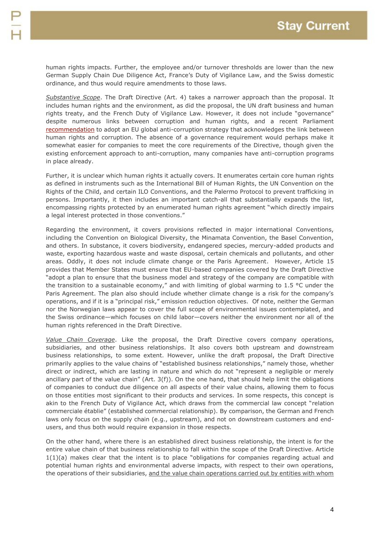human rights impacts. Further, the employee and/or turnover thresholds are lower than the new German Supply Chain Due Diligence Act, France's Duty of Vigilance Law, and the Swiss domestic ordinance, and thus would require amendments to those laws.

*Substantive Scope*. The Draft Directive (Art. 4) takes a narrower approach than the proposal. It includes human rights and the environment, as did the proposal, the UN draft business and human rights treaty, and the French Duty of Vigilance Law. However, it does not include "governance" despite numerous links between corruption and human rights, and a recent Parliament [recommendation](https://www.europarl.europa.eu/doceo/document/TA-9-2022-0042_EN.pdf) to adopt an EU global anti-corruption strategy that acknowledges the link between human rights and corruption. The absence of a governance requirement would perhaps make it somewhat easier for companies to meet the core requirements of the Directive, though given the existing enforcement approach to anti-corruption, many companies have anti-corruption programs in place already.

Further, it is unclear which human rights it actually covers. It enumerates certain core human rights as defined in instruments such as the International Bill of Human Rights, the UN Convention on the Rights of the Child, and certain ILO Conventions, and the Palermo Protocol to prevent trafficking in persons. Importantly, it then includes an important catch-all that substantially expands the list, encompassing rights protected by an enumerated human rights agreement "which directly impairs a legal interest protected in those conventions."

Regarding the environment, it covers provisions reflected in major international Conventions, including the Convention on Biological Diversity, the Minamata Convention, the Basel Convention, and others. In substance, it covers biodiversity, endangered species, mercury-added products and waste, exporting hazardous waste and waste disposal, certain chemicals and pollutants, and other areas. Oddly, it does not include climate change or the Paris Agreement. However, Article 15 provides that Member States must ensure that EU-based companies covered by the Draft Directive "adopt a plan to ensure that the business model and strategy of the company are compatible with the transition to a sustainable economy," and with limiting of global warming to 1.5 °C under the Paris Agreement. The plan also should include whether climate change is a risk for the company's operations, and if it is a "principal risk," emission reduction objectives. Of note, neither the German nor the Norwegian laws appear to cover the full scope of environmental issues contemplated, and the Swiss ordinance—which focuses on child labor—covers neither the environment nor all of the human rights referenced in the Draft Directive.

*Value Chain Coverage*. Like the proposal, the Draft Directive covers company operations, subsidiaries, and other business relationships. It also covers both upstream and downstream business relationships, to some extent. However, unlike the draft proposal, the Draft Directive primarily applies to the value chains of "established business relationships," namely those, whether direct or indirect, which are lasting in nature and which do not "represent a negligible or merely ancillary part of the value chain" (Art. 3(f)). On the one hand, that should help limit the obligations of companies to conduct due diligence on all aspects of their value chains, allowing them to focus on those entities most significant to their products and services. In some respects, this concept is akin to the French Duty of Vigilance Act, which draws from the commercial law concept "relation commerciale établie" (established commercial relationship). By comparison, the German and French laws only focus on the supply chain (e.g., upstream), and not on downstream customers and endusers, and thus both would require expansion in those respects.

On the other hand, where there is an established direct business relationship, the intent is for the entire value chain of that business relationship to fall within the scope of the Draft Directive. Article 1(1)(a) makes clear that the intent is to place "obligations for companies regarding actual and potential human rights and environmental adverse impacts, with respect to their own operations, the operations of their subsidiaries, and the value chain operations carried out by entities with whom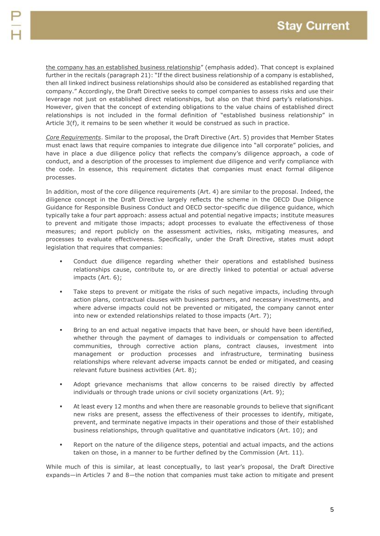the company has an established business relationship" (emphasis added). That concept is explained further in the recitals (paragraph 21): "If the direct business relationship of a company is established, then all linked indirect business relationships should also be considered as established regarding that company." Accordingly, the Draft Directive seeks to compel companies to assess risks and use their leverage not just on established direct relationships, but also on that third party's relationships. However, given that the concept of extending obligations to the value chains of established direct relationships is not included in the formal definition of "established business relationship" in Article 3(f), it remains to be seen whether it would be construed as such in practice.

*Core Requirements*. Similar to the proposal, the Draft Directive (Art. 5) provides that Member States must enact laws that require companies to integrate due diligence into "all corporate" policies, and have in place a due diligence policy that reflects the company's diligence approach, a code of conduct, and a description of the processes to implement due diligence and verify compliance with the code. In essence, this requirement dictates that companies must enact formal diligence processes.

In addition, most of the core diligence requirements (Art. 4) are similar to the proposal. Indeed, the diligence concept in the Draft Directive largely reflects the scheme in the OECD Due Diligence Guidance for Responsible Business Conduct and OECD sector-specific due diligence guidance, which typically take a four part approach: assess actual and potential negative impacts; institute measures to prevent and mitigate those impacts; adopt processes to evaluate the effectiveness of those measures; and report publicly on the assessment activities, risks, mitigating measures, and processes to evaluate effectiveness. Specifically, under the Draft Directive, states must adopt legislation that requires that companies:

- Conduct due diligence regarding whether their operations and established business relationships cause, contribute to, or are directly linked to potential or actual adverse impacts (Art. 6);
- Take steps to prevent or mitigate the risks of such negative impacts, including through action plans, contractual clauses with business partners, and necessary investments, and where adverse impacts could not be prevented or mitigated, the company cannot enter into new or extended relationships related to those impacts (Art. 7);
- Bring to an end actual negative impacts that have been, or should have been identified, whether through the payment of damages to individuals or compensation to affected communities, through corrective action plans, contract clauses, investment into management or production processes and infrastructure, terminating business relationships where relevant adverse impacts cannot be ended or mitigated, and ceasing relevant future business activities (Art. 8);
- Adopt grievance mechanisms that allow concerns to be raised directly by affected individuals or through trade unions or civil society organizations (Art. 9);
- At least every 12 months and when there are reasonable grounds to believe that significant new risks are present, assess the effectiveness of their processes to identify, mitigate, prevent, and terminate negative impacts in their operations and those of their established business relationships, through qualitative and quantitative indicators (Art. 10); and
- Report on the nature of the diligence steps, potential and actual impacts, and the actions taken on those, in a manner to be further defined by the Commission (Art. 11).

While much of this is similar, at least conceptually, to last year's proposal, the Draft Directive expands—in Articles 7 and 8—the notion that companies must take action to mitigate and present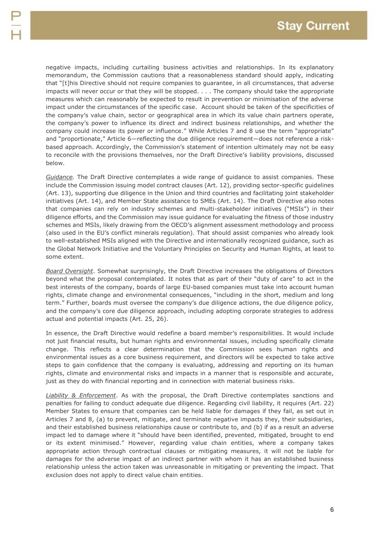negative impacts, including curtailing business activities and relationships. In its explanatory memorandum, the Commission cautions that a reasonableness standard should apply, indicating that "[t]his Directive should not require companies to guarantee, in all circumstances, that adverse impacts will never occur or that they will be stopped. . . . The company should take the appropriate measures which can reasonably be expected to result in prevention or minimisation of the adverse impact under the circumstances of the specific case. Account should be taken of the specificities of the company's value chain, sector or geographical area in which its value chain partners operate, the company's power to influence its direct and indirect business relationships, and whether the company could increase its power or influence." While Articles 7 and 8 use the term "appropriate" and "proportionate," Article 6—reflecting the due diligence requirement—does not reference a riskbased approach. Accordingly, the Commission's statement of intention ultimately may not be easy to reconcile with the provisions themselves, nor the Draft Directive's liability provisions, discussed below.

*Guidance.* The Draft Directive contemplates a wide range of guidance to assist companies. These include the Commission issuing model contract clauses (Art. 12), providing sector-specific guidelines (Art. 13), supporting due diligence in the Union and third countries and facilitating joint stakeholder initiatives (Art. 14), and Member State assistance to SMEs (Art. 14). The Draft Directive also notes that companies can rely on industry schemes and multi-stakeholder initiatives ("MSIs") in their diligence efforts, and the Commission may issue guidance for evaluating the fitness of those industry schemes and MSIs, likely drawing from the OECD's alignment assessment methodology and process (also used in the EU's conflict minerals regulation). That should assist companies who already look to well-established MSIs aligned with the Directive and internationally recognized guidance, such as the Global Network Initiative and the Voluntary Principles on Security and Human Rights, at least to some extent.

*Board Oversight*. Somewhat surprisingly, the Draft Directive increases the obligations of Directors beyond what the proposal contemplated. It notes that as part of their "duty of care" to act in the best interests of the company, boards of large EU-based companies must take into account human rights, climate change and environmental consequences, "including in the short, medium and long term." Further, boards must oversee the company's due diligence actions, the due diligence policy, and the company's core due diligence approach, including adopting corporate strategies to address actual and potential impacts (Art. 25, 26).

In essence, the Draft Directive would redefine a board member's responsibilities. It would include not just financial results, but human rights and environmental issues, including specifically climate change. This reflects a clear determination that the Commission sees human rights and environmental issues as a core business requirement, and directors will be expected to take active steps to gain confidence that the company is evaluating, addressing and reporting on its human rights, climate and environmental risks and impacts in a manner that is responsible and accurate, just as they do with financial reporting and in connection with material business risks.

*Liability & Enforcement*. As with the proposal, the Draft Directive contemplates sanctions and penalties for failing to conduct adequate due diligence. Regarding civil liability, it requires (Art. 22) Member States to ensure that companies can be held liable for damages if they fail, as set out in Articles 7 and 8, (a) to prevent, mitigate, and terminate negative impacts they, their subsidiaries, and their established business relationships cause or contribute to, and (b) if as a result an adverse impact led to damage where it "should have been identified, prevented, mitigated, brought to end or its extent minimised." However, regarding value chain entities, where a company takes appropriate action through contractual clauses or mitigating measures, it will not be liable for damages for the adverse impact of an indirect partner with whom it has an established business relationship unless the action taken was unreasonable in mitigating or preventing the impact. That exclusion does not apply to direct value chain entities.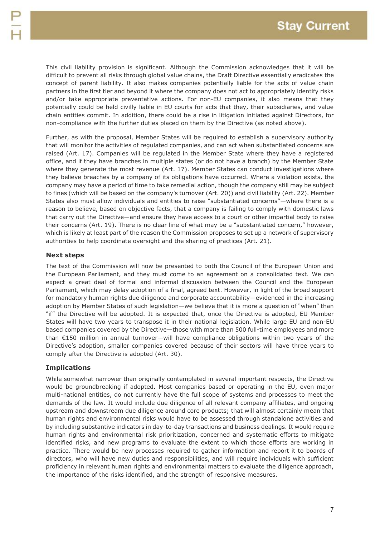This civil liability provision is significant. Although the Commission acknowledges that it will be difficult to prevent all risks through global value chains, the Draft Directive essentially eradicates the concept of parent liability. It also makes companies potentially liable for the acts of value chain partners in the first tier and beyond it where the company does not act to appropriately identify risks and/or take appropriate preventative actions. For non-EU companies, it also means that they potentially could be held civilly liable in EU courts for acts that they, their subsidiaries, and value chain entities commit. In addition, there could be a rise in litigation initiated against Directors, for non-compliance with the further duties placed on them by the Directive (as noted above).

Further, as with the proposal, Member States will be required to establish a supervisory authority that will monitor the activities of regulated companies, and can act when substantiated concerns are raised (Art. 17). Companies will be regulated in the Member State where they have a registered office, and if they have branches in multiple states (or do not have a branch) by the Member State where they generate the most revenue (Art. 17). Member States can conduct investigations where they believe breaches by a company of its obligations have occurred. Where a violation exists, the company may have a period of time to take remedial action, though the company still may be subject to fines (which will be based on the company's turnover (Art. 20)) and civil liability (Art. 22). Member States also must allow individuals and entities to raise "substantiated concerns"—where there is a reason to believe, based on objective facts, that a company is failing to comply with domestic laws that carry out the Directive—and ensure they have access to a court or other impartial body to raise their concerns (Art. 19). There is no clear line of what may be a "substantiated concern," however, which is likely at least part of the reason the Commission proposes to set up a network of supervisory authorities to help coordinate oversight and the sharing of practices (Art. 21).

## **Next steps**

The text of the Commission will now be presented to both the Council of the European Union and the European Parliament, and they must come to an agreement on a consolidated text. We can expect a great deal of formal and informal discussion between the Council and the European Parliament, which may delay adoption of a final, agreed text. However, in light of the broad support for mandatory human rights due diligence and corporate accountability—evidenced in the increasing adoption by Member States of such legislation—we believe that it is more a question of "when" than "if" the Directive will be adopted. It is expected that, once the Directive is adopted, EU Member States will have two years to transpose it in their national legislation. While large EU and non-EU based companies covered by the Directive—those with more than 500 full-time employees and more than €150 million in annual turnover—will have compliance obligations within two years of the Directive's adoption, smaller companies covered because of their sectors will have three years to comply after the Directive is adopted (Art. 30).

## **Implications**

While somewhat narrower than originally contemplated in several important respects, the Directive would be groundbreaking if adopted. Most companies based or operating in the EU, even major multi-national entities, do not currently have the full scope of systems and processes to meet the demands of the law. It would include due diligence of all relevant company affiliates, and ongoing upstream and downstream due diligence around core products; that will almost certainly mean that human rights and environmental risks would have to be assessed through standalone activities and by including substantive indicators in day-to-day transactions and business dealings. It would require human rights and environmental risk prioritization, concerned and systematic efforts to mitigate identified risks, and new programs to evaluate the extent to which those efforts are working in practice. There would be new processes required to gather information and report it to boards of directors, who will have new duties and responsibilities, and will require individuals with sufficient proficiency in relevant human rights and environmental matters to evaluate the diligence approach, the importance of the risks identified, and the strength of responsive measures.